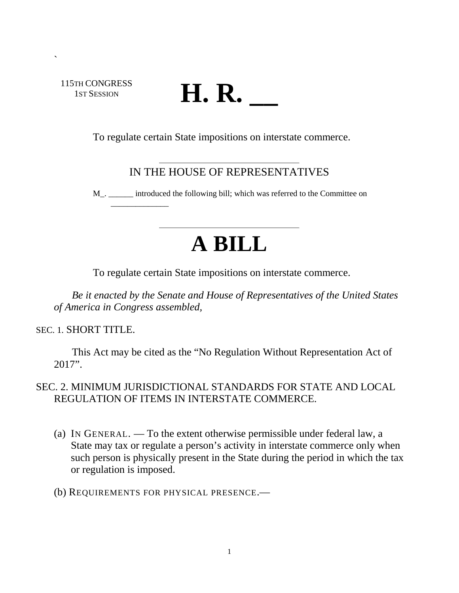115TH CONGRESS 1ST SESSION

\_\_\_\_\_\_\_\_\_\_\_\_\_\_

`

# **H. R. \_\_**

To regulate certain State impositions on interstate commerce.

## IN THE HOUSE OF REPRESENTATIVES

M\_. \_\_\_\_\_\_ introduced the following bill; which was referred to the Committee on

# **A BILL**

To regulate certain State impositions on interstate commerce.

*Be it enacted by the Senate and House of Representatives of the United States of America in Congress assembled,* 

SEC. 1. SHORT TITLE.

This Act may be cited as the "No Regulation Without Representation Act of 2017".

### SEC. 2. MINIMUM JURISDICTIONAL STANDARDS FOR STATE AND LOCAL REGULATION OF ITEMS IN INTERSTATE COMMERCE.

- (a) IN GENERAL. To the extent otherwise permissible under federal law, a State may tax or regulate a person's activity in interstate commerce only when such person is physically present in the State during the period in which the tax or regulation is imposed.
- (b) REQUIREMENTS FOR PHYSICAL PRESENCE.—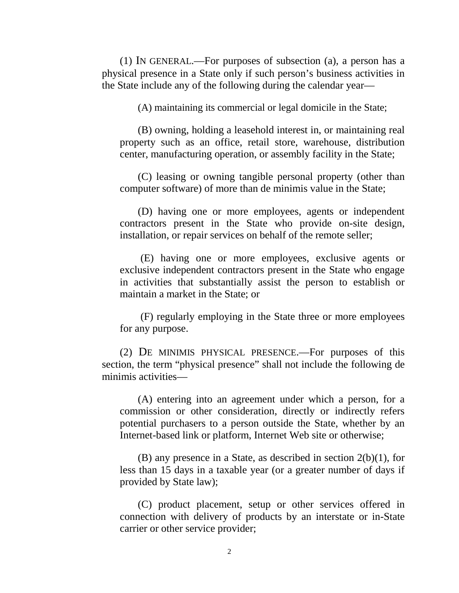(1) IN GENERAL.—For purposes of subsection (a), a person has a physical presence in a State only if such person's business activities in the State include any of the following during the calendar year—

(A) maintaining its commercial or legal domicile in the State;

(B) owning, holding a leasehold interest in, or maintaining real property such as an office, retail store, warehouse, distribution center, manufacturing operation, or assembly facility in the State;

(C) leasing or owning tangible personal property (other than computer software) of more than de minimis value in the State;

(D) having one or more employees, agents or independent contractors present in the State who provide on-site design, installation, or repair services on behalf of the remote seller;

(E) having one or more employees, exclusive agents or exclusive independent contractors present in the State who engage in activities that substantially assist the person to establish or maintain a market in the State; or

(F) regularly employing in the State three or more employees for any purpose.

(2) DE MINIMIS PHYSICAL PRESENCE.—For purposes of this section, the term "physical presence" shall not include the following de minimis activities—

(A) entering into an agreement under which a person, for a commission or other consideration, directly or indirectly refers potential purchasers to a person outside the State, whether by an Internet-based link or platform, Internet Web site or otherwise;

(B) any presence in a State, as described in section 2(b)(1), for less than 15 days in a taxable year (or a greater number of days if provided by State law);

(C) product placement, setup or other services offered in connection with delivery of products by an interstate or in-State carrier or other service provider;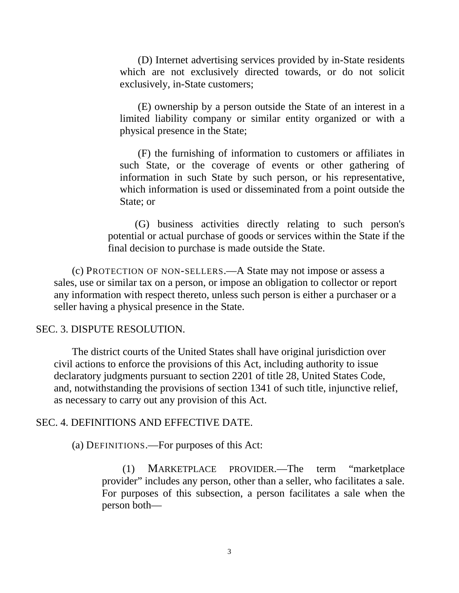(D) Internet advertising services provided by in-State residents which are not exclusively directed towards, or do not solicit exclusively, in-State customers;

(E) ownership by a person outside the State of an interest in a limited liability company or similar entity organized or with a physical presence in the State;

(F) the furnishing of information to customers or affiliates in such State, or the coverage of events or other gathering of information in such State by such person, or his representative, which information is used or disseminated from a point outside the State; or

(G) business activities directly relating to such person's potential or actual purchase of goods or services within the State if the final decision to purchase is made outside the State.

(c) PROTECTION OF NON-SELLERS.—A State may not impose or assess a sales, use or similar tax on a person, or impose an obligation to collector or report any information with respect thereto, unless such person is either a purchaser or a seller having a physical presence in the State.

#### SEC. 3. DISPUTE RESOLUTION.

The district courts of the United States shall have original jurisdiction over civil actions to enforce the provisions of this Act, including authority to issue declaratory judgments pursuant to section 2201 of title 28, United States Code, and, notwithstanding the provisions of section 1341 of such title, injunctive relief, as necessary to carry out any provision of this Act.

#### SEC. 4. DEFINITIONS AND EFFECTIVE DATE.

(a) DEFINITIONS.—For purposes of this Act:

(1) MARKETPLACE PROVIDER.—The term "marketplace provider" includes any person, other than a seller, who facilitates a sale. For purposes of this subsection, a person facilitates a sale when the person both—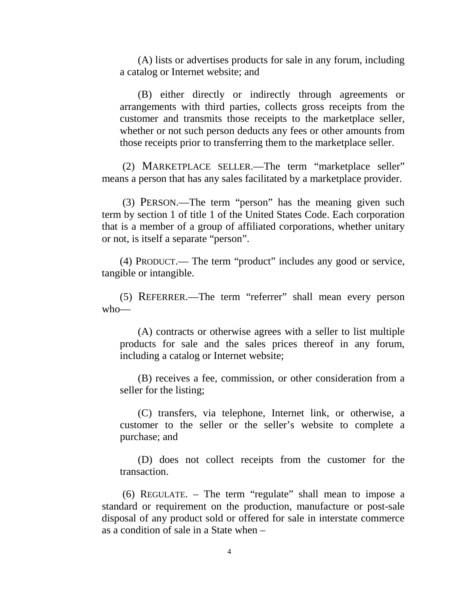(A) lists or advertises products for sale in any forum, including a catalog or Internet website; and

(B) either directly or indirectly through agreements or arrangements with third parties, collects gross receipts from the customer and transmits those receipts to the marketplace seller, whether or not such person deducts any fees or other amounts from those receipts prior to transferring them to the marketplace seller.

(2) MARKETPLACE SELLER.—The term "marketplace seller" means a person that has any sales facilitated by a marketplace provider.

(3) PERSON.—The term "person" has the meaning given such term by section 1 of title 1 of the United States Code. Each corporation that is a member of a group of affiliated corporations, whether unitary or not, is itself a separate "person".

(4) PRODUCT.— The term "product" includes any good or service, tangible or intangible.

(5) REFERRER.—The term "referrer" shall mean every person who—

(A) contracts or otherwise agrees with a seller to list multiple products for sale and the sales prices thereof in any forum, including a catalog or Internet website;

(B) receives a fee, commission, or other consideration from a seller for the listing;

(C) transfers, via telephone, Internet link, or otherwise, a customer to the seller or the seller's website to complete a purchase; and

(D) does not collect receipts from the customer for the transaction.

(6) REGULATE. – The term "regulate" shall mean to impose a standard or requirement on the production, manufacture or post-sale disposal of any product sold or offered for sale in interstate commerce as a condition of sale in a State when –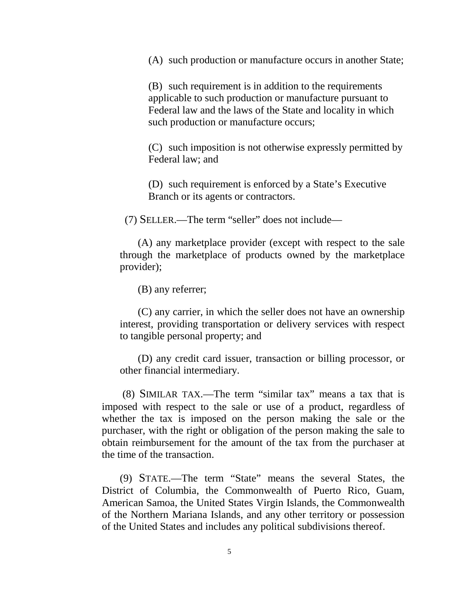(A) such production or manufacture occurs in another State;

(B) such requirement is in addition to the requirements applicable to such production or manufacture pursuant to Federal law and the laws of the State and locality in which such production or manufacture occurs;

(C) such imposition is not otherwise expressly permitted by Federal law; and

(D) such requirement is enforced by a State's Executive Branch or its agents or contractors.

(7) SELLER.—The term "seller" does not include—

(A) any marketplace provider (except with respect to the sale through the marketplace of products owned by the marketplace provider);

(B) any referrer;

(C) any carrier, in which the seller does not have an ownership interest, providing transportation or delivery services with respect to tangible personal property; and

(D) any credit card issuer, transaction or billing processor, or other financial intermediary.

(8) SIMILAR TAX.—The term "similar tax" means a tax that is imposed with respect to the sale or use of a product, regardless of whether the tax is imposed on the person making the sale or the purchaser, with the right or obligation of the person making the sale to obtain reimbursement for the amount of the tax from the purchaser at the time of the transaction.

(9) STATE.—The term "State" means the several States, the District of Columbia, the Commonwealth of Puerto Rico, Guam, American Samoa, the United States Virgin Islands, the Commonwealth of the Northern Mariana Islands, and any other territory or possession of the United States and includes any political subdivisions thereof.